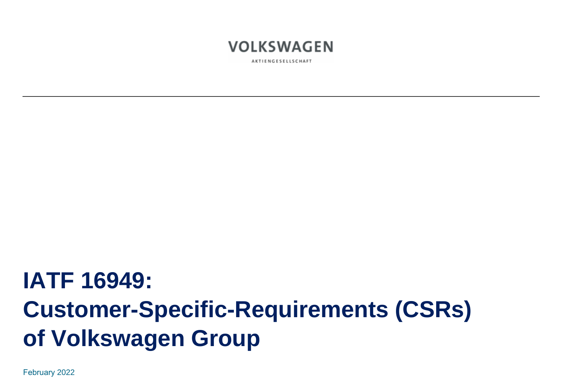

AKTIENGESELLSCHAFT

# **IATF 16949: Customer-Specific-Requirements (CSRs) of Volkswagen Group**

February 2022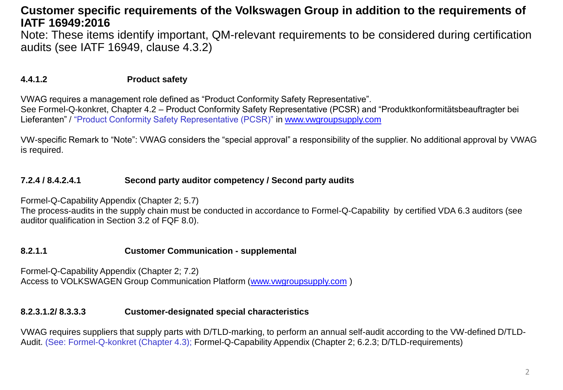Note: These items identify important, QM-relevant requirements to be considered during certification audits (see IATF 16949, clause 4.3.2)

## **4.4.1.2 Product safety**

VWAG requires a management role defined as "Product Conformity Safety Representative".

See Formel-Q-konkret, Chapter 4.2 – Product Conformity Safety Representative (PCSR) and "Produktkonformitätsbeauftragter bei Lieferanten" / "Product Conformity Safety Representative (PCSR)" in [www.vwgroupsupply.com](http://www.vwgroupsupply.com/)

VW-specific Remark to "Note": VWAG considers the "special approval" a responsibility of the supplier. No additional approval by VWAG is required.

## **7.2.4 / 8.4.2.4.1 Second party auditor competency / Second party audits**

Formel-Q-Capability Appendix (Chapter 2; 5.7)

The process-audits in the supply chain must be conducted in accordance to Formel-Q-Capability by certified VDA 6.3 auditors (see auditor qualification in Section 3.2 of FQF 8.0).

#### **8.2.1.1 Customer Communication - supplemental**

Formel-Q-Capability Appendix (Chapter 2; 7.2) Access to VOLKSWAGEN Group Communication Platform [\(www.vwgroupsupply.com](http://www.vwgroupsupply.com/) )

#### **8.2.3.1.2/ 8.3.3.3 Customer-designated special characteristics**

VWAG requires suppliers that supply parts with D/TLD-marking, to perform an annual self-audit according to the VW-defined D/TLD-Audit. (See: Formel-Q-konkret (Chapter 4.3); Formel-Q-Capability Appendix (Chapter 2; 6.2.3; D/TLD-requirements)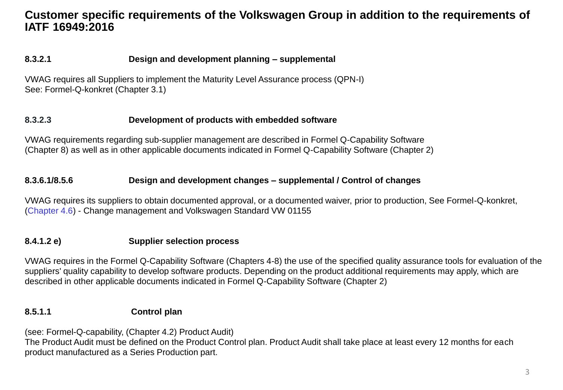# **8.3.2.1 Design and development planning – supplemental**

VWAG requires all Suppliers to implement the Maturity Level Assurance process (QPN-I) See: Formel-Q-konkret (Chapter 3.1)

## **8.3.2.3 Development of products with embedded software**

VWAG requirements regarding sub-supplier management are described in Formel Q-Capability Software (Chapter 8) as well as in other applicable documents indicated in Formel Q-Capability Software (Chapter 2)

## **8.3.6.1/8.5.6 Design and development changes – supplemental / Control of changes**

VWAG requires its suppliers to obtain documented approval, or a documented waiver, prior to production, See Formel-Q-konkret, (Chapter 4.6) - Change management and Volkswagen Standard VW 01155

# **8.4.1.2 e) Supplier selection process**

VWAG requires in the Formel Q-Capability Software (Chapters 4-8) the use of the specified quality assurance tools for evaluation of the suppliers' quality capability to develop software products. Depending on the product additional requirements may apply, which are described in other applicable documents indicated in Formel Q-Capability Software (Chapter 2)

# **8.5.1.1 Control plan**

(see: Formel-Q-capability, (Chapter 4.2) Product Audit)

The Product Audit must be defined on the Product Control plan. Product Audit shall take place at least every 12 months for each product manufactured as a Series Production part.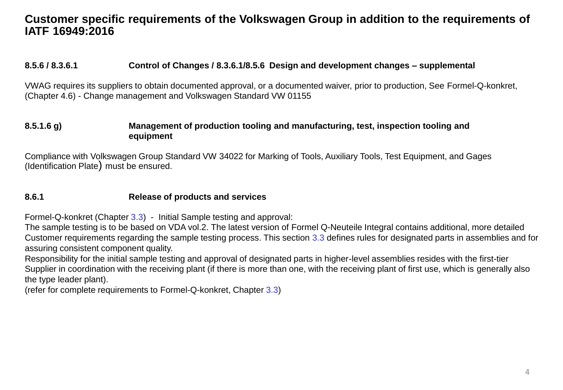#### **8.5.6 / 8.3.6.1 Control of Changes / 8.3.6.1/8.5.6 Design and development changes – supplemental**

VWAG requires its suppliers to obtain documented approval, or a documented waiver, prior to production, See Formel-Q-konkret, (Chapter 4.6) - Change management and Volkswagen Standard VW 01155

#### **8.5.1.6 g) Management of production tooling and manufacturing, test, inspection tooling and equipment**

Compliance with Volkswagen Group Standard VW 34022 for Marking of Tools, Auxiliary Tools, Test Equipment, and Gages (Identification Plate) must be ensured.

#### **8.6.1 Release of products and services**

Formel-Q-konkret (Chapter 3.3) - Initial Sample testing and approval:

The sample testing is to be based on VDA vol.2. The latest version of Formel Q-Neuteile Integral contains additional, more detailed Customer requirements regarding the sample testing process. This section 3.3 defines rules for designated parts in assemblies and for assuring consistent component quality.

Responsibility for the initial sample testing and approval of designated parts in higher-level assemblies resides with the first-tier Supplier in coordination with the receiving plant (if there is more than one, with the receiving plant of first use, which is generally also the type leader plant).

(refer for complete requirements to Formel-Q-konkret, Chapter 3.3)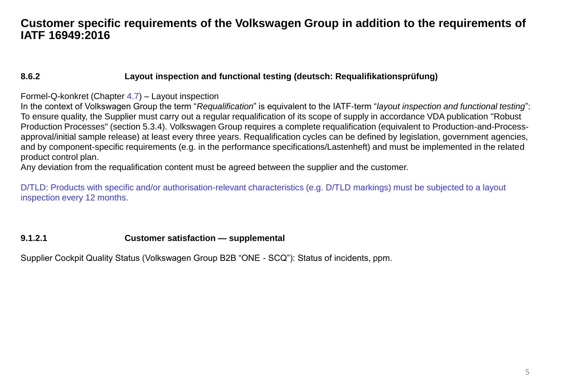## **8.6.2 Layout inspection and functional testing (deutsch: Requalifikationsprüfung)**

#### Formel-Q-konkret (Chapter 4.7) – Layout inspection

In the context of Volkswagen Group the term "*Requalification*" is equivalent to the IATF-term "*layout inspection and functional testing*": To ensure quality, the Supplier must carry out a regular requalification of its scope of supply in accordance VDA publication "Robust Production Processes" (section 5.3.4). Volkswagen Group requires a complete requalification (equivalent to Production-and-Processapproval/initial sample release) at least every three years. Requalification cycles can be defined by legislation, government agencies, and by component-specific requirements (e.g. in the performance specifications/Lastenheft) and must be implemented in the related product control plan.

Any deviation from the requalification content must be agreed between the supplier and the customer.

D/TLD: Products with specific and/or authorisation-relevant characteristics (e.g. D/TLD markings) must be subjected to a layout inspection every 12 months.

#### **9.1.2.1 Customer satisfaction — supplemental**

Supplier Cockpit Quality Status (Volkswagen Group B2B "ONE - SCQ"): Status of incidents, ppm.